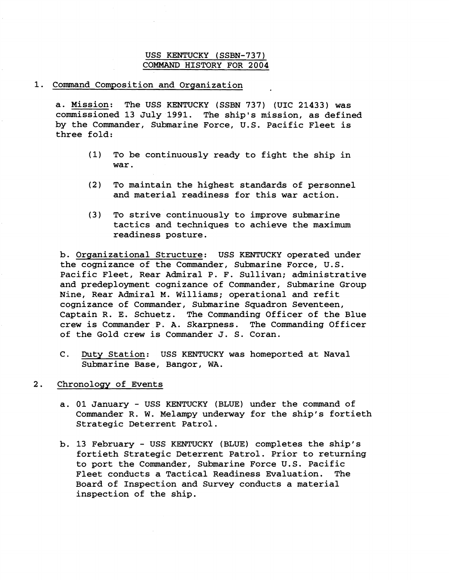## USS KENTUCKY (SSBN-737) COMMAND HISTORY FOR 2004

## 1. Command Composition and Organization

a. Mission: The USS KENTUCKY (SSBN 737) (UIC 21433) was commissioned 13 July 1991. The ship's mission, as defined by the Commander, Submarine Force, U.S. Pacific Fleet is three fold:

- (1) To be continuously ready to fight the ship in war.
- (2) To maintain the highest standards of personnel and material readiness for this war action.
- (3) To strive continuously to improve submarine tactics and techniques to achieve the maximum readiness posture.

b. Organizational Structure: USS KENTUCKY operated under the cognizance of the Commander, Submarine Force, U.S. Pacific Fleet, Rear Admiral P. F. Sullivan; administrative and predeployment cognizance of Commander, Submarine Group Nine, Rear Admiral **14.** Williams; operational and refit cognizance of Commarider, Submarine Squadron Seventeen, Captain R. E. Schuetz. The Commanding Officer of the Blue crew is Commander **P.** A. Skarpness. The Commanding Officer of the Gold crew is Commander J. S. Coran.

- C. Duty Station: USS KENTUCKY was homeported at Naval Submarine Base, Bangor, WA.
- 2. Chronology of Events
	- a. 01 January USS KENTUCKY (BLUE) under the command of Commander R. W. Melampy underway for the ship's fortieth Strategic Deterrent Patrol.
	- b. 13 February USS KENTUCKY (BLUE) completes the ship's fortieth Strategic Deterrent Patrol. Prior to returning to port the Commander, Submarine Force U.S. Pacific Fleet conducts a Tactical Readiness Evaluation. The Board of Inspection and Survey conducts a material inspection of the ship.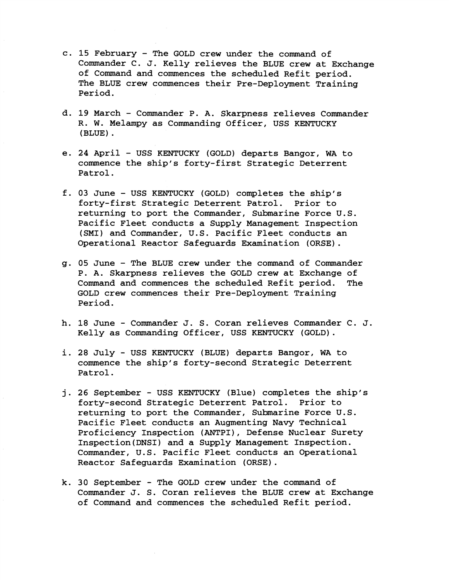- c. **15** February The GOLD crew under the command of Commander C. J. Kelly relieves the BLUE crew at Exchange of Command and commences the scheduled Refit period. The BLUE crew commences their Pre-Deployment Training Period.
- d. **19** March Commander P. A. Skarpness relieves Commander R. W. Melampy as Commanding Officer, USS KENTUCKY (BLUE) .
- e. 24 April USS KENTUCKY (GOLD) departs Bangor, WA to commence the ship's forty-first Strategic Deterrent Patrol.
- f. 03 June USS KENTUCKY (GOLD) completes the ship's forty-first Strategic Deterrent Patrol. returning to port the Commander, Submarine Force U.S. Pacific Fleet conducts a Supply Management Inspection (SMI) and Commander, U.S. Pacific Fleet conducts an Operational Reactor Safeguards Examination (ORSE).
- g. 05 June The BLUE crew under the command of Commander P. A. Skarpness relieves the GOLD crew at Exchange of Command and commences the scheduled Refit period. The GOLD crew commences their Pre-Deployment Training Period.
- h. **18** June Commander J. S. Coran relieves Commander C. J. Kelly as Commanding Officer, USS KENTUCKY (GOLD).
- i. **28** July USS KENTUCKY (BLUE) departs Bangor, WA to commence the ship's forty-second Strategic Deterrent Patrol.
- **j.** 26 September USS KENTUCKY (Blue) completes the ship's forty-second Strategic Deterrent Patrol. Prior to returning to port the Commander, Submarine Force U.S. Pacific Fleet conducts an Augmenting Navy Technical Proficiency Inspection (ANTPI), Defense Nuclear Surety Inspection(DNS1) and a Supply Management Inspection. Commander, U.S. Pacific Fleet conducts an Operational Reactor Safeguards Examination (ORSE).
- k. 30 September The GOLD crew under the command of Commander J. S. Coran relieves the BLUE crew at Exchange of Command and commences the scheduled Refit period.